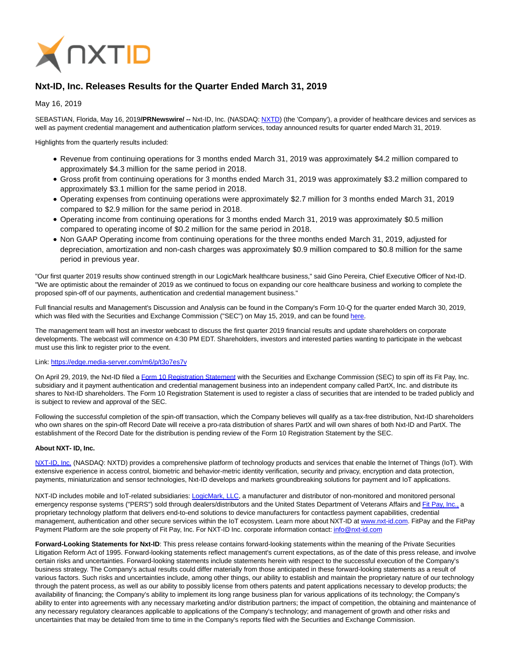

## **Nxt-ID, Inc. Releases Results for the Quarter Ended March 31, 2019**

May 16, 2019

SEBASTIAN, Florida, May 16, 2019**/PRNewswire/ --** Nxt-ID, Inc. (NASDAQ[: NXTD\)](https://finance.yahoo.com/q?s=nxtd) (the 'Company'), a provider of healthcare devices and services as well as payment credential management and authentication platform services, today announced results for quarter ended March 31, 2019.

Highlights from the quarterly results included:

- Revenue from continuing operations for 3 months ended March 31, 2019 was approximately \$4.2 million compared to approximately \$4.3 million for the same period in 2018.
- Gross profit from continuing operations for 3 months ended March 31, 2019 was approximately \$3.2 million compared to approximately \$3.1 million for the same period in 2018.
- Operating expenses from continuing operations were approximately \$2.7 million for 3 months ended March 31, 2019 compared to \$2.9 million for the same period in 2018.
- Operating income from continuing operations for 3 months ended March 31, 2019 was approximately \$0.5 million compared to operating income of \$0.2 million for the same period in 2018.
- Non GAAP Operating income from continuing operations for the three months ended March 31, 2019, adjusted for depreciation, amortization and non-cash charges was approximately \$0.9 million compared to \$0.8 million for the same period in previous year.

"Our first quarter 2019 results show continued strength in our LogicMark healthcare business," said Gino Pereira, Chief Executive Officer of Nxt-ID. "We are optimistic about the remainder of 2019 as we continued to focus on expanding our core healthcare business and working to complete the proposed spin-off of our payments, authentication and credential management business."

Full financial results and Management's Discussion and Analysis can be found in the Company's Form 10-Q for the quarter ended March 30, 2019, which was filed with the Securities and Exchange Commission ("SEC") on May 15, 2019, and can be found [here.](http://investors.nxt-id.com/financial-information/sec-filings)

The management team will host an investor webcast to discuss the first quarter 2019 financial results and update shareholders on corporate developments. The webcast will commence on 4:30 PM EDT. Shareholders, investors and interested parties wanting to participate in the webcast must use this link to register prior to the event.

## Link:<https://edge.media-server.com/m6/p/t3o7es7v>

On April 29, 2019, the Nxt-ID filed a [Form 10 Registration Statement w](https://www.sec.gov/cgi-bin/browse-edgar?company=PARTX&owner=exclude&action=getcompany)ith the Securities and Exchange Commission (SEC) to spin off its Fit Pay, Inc. subsidiary and it payment authentication and credential management business into an independent company called PartX, Inc. and distribute its shares to Nxt-ID shareholders. The Form 10 Registration Statement is used to register a class of securities that are intended to be traded publicly and is subject to review and approval of the SEC.

Following the successful completion of the spin-off transaction, which the Company believes will qualify as a tax-free distribution, Nxt-ID shareholders who own shares on the spin-off Record Date will receive a pro-rata distribution of shares PartX and will own shares of both Nxt-ID and PartX. The establishment of the Record Date for the distribution is pending review of the Form 10 Registration Statement by the SEC.

## **About NXT- ID, Inc.**

[NXT-ID, Inc. \(](http://www.nxt-id.com/)NASDAQ: NXTD) provides a comprehensive platform of technology products and services that enable the Internet of Things (IoT). With extensive experience in access control, biometric and behavior-metric identity verification, security and privacy, encryption and data protection, payments, miniaturization and sensor technologies, Nxt-ID develops and markets groundbreaking solutions for payment and IoT applications.

NXT-ID includes mobile and IoT-related subsidiaries[: LogicMark, LLC,](https://www.logicmark.com/) a manufacturer and distributor of non-monitored and monitored personal emergency response systems ("PERS") sold through dealers/distributors and the United States Department of Veterans Affairs an[d Fit Pay, Inc., a](http://www.fit-pay.com/) proprietary technology platform that delivers end-to-end solutions to device manufacturers for contactless payment capabilities, credential management, authentication and other secure services within the IoT ecosystem. Learn more about NXT-ID at [www.nxt-id.com.](http://www.nxt-id.com/) FitPay and the FitPay Payment Platform are the sole property of Fit Pay, Inc. For NXT-ID Inc. corporate information contact[: info@nxt-id.com](mailto:info@nxt-id.com)

**Forward-Looking Statements for Nxt-ID**: This press release contains forward-looking statements within the meaning of the Private Securities Litigation Reform Act of 1995. Forward-looking statements reflect management's current expectations, as of the date of this press release, and involve certain risks and uncertainties. Forward-looking statements include statements herein with respect to the successful execution of the Company's business strategy. The Company's actual results could differ materially from those anticipated in these forward-looking statements as a result of various factors. Such risks and uncertainties include, among other things, our ability to establish and maintain the proprietary nature of our technology through the patent process, as well as our ability to possibly license from others patents and patent applications necessary to develop products; the availability of financing; the Company's ability to implement its long range business plan for various applications of its technology; the Company's ability to enter into agreements with any necessary marketing and/or distribution partners; the impact of competition, the obtaining and maintenance of any necessary regulatory clearances applicable to applications of the Company's technology; and management of growth and other risks and uncertainties that may be detailed from time to time in the Company's reports filed with the Securities and Exchange Commission.